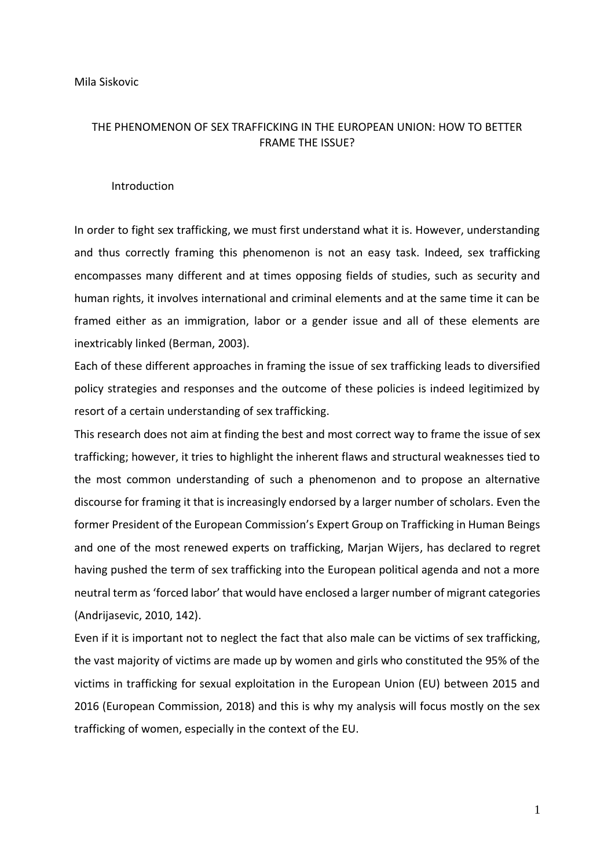## THE PHENOMENON OF SEX TRAFFICKING IN THE EUROPEAN UNION: HOW TO BETTER FRAME THE ISSUE?

#### Introduction

In order to fight sex trafficking, we must first understand what it is. However, understanding and thus correctly framing this phenomenon is not an easy task. Indeed, sex trafficking encompasses many different and at times opposing fields of studies, such as security and human rights, it involves international and criminal elements and at the same time it can be framed either as an immigration, labor or a gender issue and all of these elements are inextricably linked (Berman, 2003).

Each of these different approaches in framing the issue of sex trafficking leads to diversified policy strategies and responses and the outcome of these policies is indeed legitimized by resort of a certain understanding of sex trafficking.

This research does not aim at finding the best and most correct way to frame the issue of sex trafficking; however, it tries to highlight the inherent flaws and structural weaknesses tied to the most common understanding of such a phenomenon and to propose an alternative discourse for framing it that is increasingly endorsed by a larger number of scholars. Even the former President of the European Commission's Expert Group on Trafficking in Human Beings and one of the most renewed experts on trafficking, Marjan Wijers, has declared to regret having pushed the term of sex trafficking into the European political agenda and not a more neutral term as 'forced labor' that would have enclosed a larger number of migrant categories (Andrijasevic, 2010, 142).

Even if it is important not to neglect the fact that also male can be victims of sex trafficking, the vast majority of victims are made up by women and girls who constituted the 95% of the victims in trafficking for sexual exploitation in the European Union (EU) between 2015 and 2016 (European Commission, 2018) and this is why my analysis will focus mostly on the sex trafficking of women, especially in the context of the EU.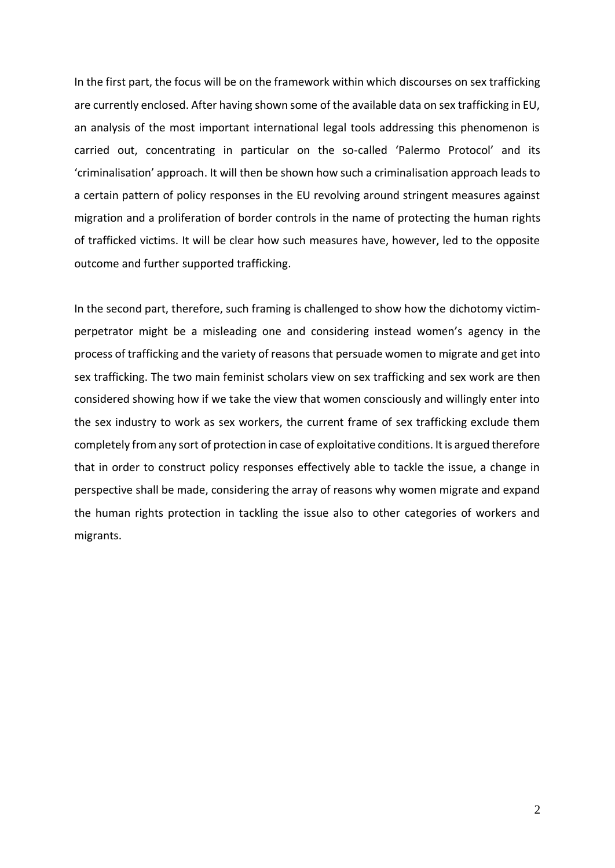In the first part, the focus will be on the framework within which discourses on sex trafficking are currently enclosed. After having shown some of the available data on sex trafficking in EU, an analysis of the most important international legal tools addressing this phenomenon is carried out, concentrating in particular on the so-called 'Palermo Protocol' and its 'criminalisation' approach. It will then be shown how such a criminalisation approach leads to a certain pattern of policy responses in the EU revolving around stringent measures against migration and a proliferation of border controls in the name of protecting the human rights of trafficked victims. It will be clear how such measures have, however, led to the opposite outcome and further supported trafficking.

In the second part, therefore, such framing is challenged to show how the dichotomy victimperpetrator might be a misleading one and considering instead women's agency in the process of trafficking and the variety of reasons that persuade women to migrate and get into sex trafficking. The two main feminist scholars view on sex trafficking and sex work are then considered showing how if we take the view that women consciously and willingly enter into the sex industry to work as sex workers, the current frame of sex trafficking exclude them completely from any sort of protection in case of exploitative conditions. It is argued therefore that in order to construct policy responses effectively able to tackle the issue, a change in perspective shall be made, considering the array of reasons why women migrate and expand the human rights protection in tackling the issue also to other categories of workers and migrants.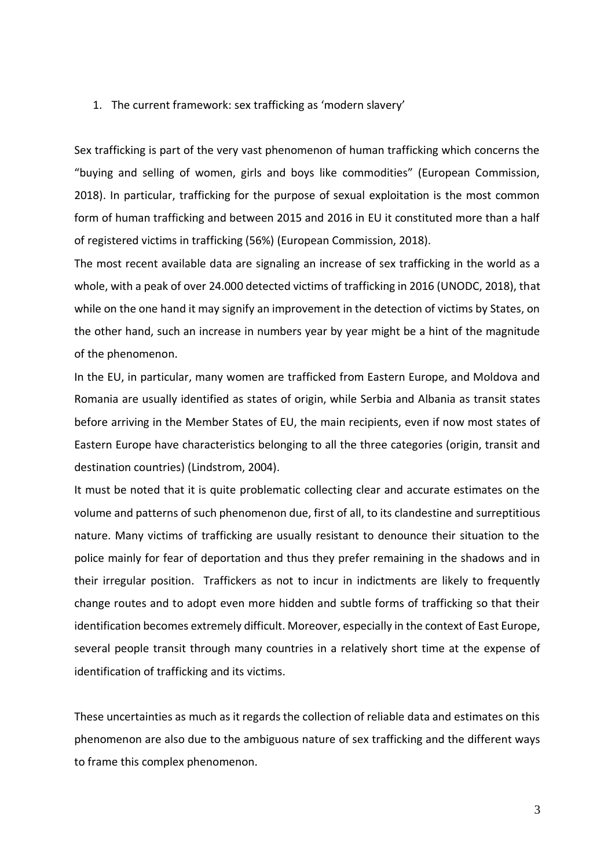### 1. The current framework: sex trafficking as 'modern slavery'

Sex trafficking is part of the very vast phenomenon of human trafficking which concerns the "buying and selling of women, girls and boys like commodities" (European Commission, 2018). In particular, trafficking for the purpose of sexual exploitation is the most common form of human trafficking and between 2015 and 2016 in EU it constituted more than a half of registered victims in trafficking (56%) (European Commission, 2018).

The most recent available data are signaling an increase of sex trafficking in the world as a whole, with a peak of over 24.000 detected victims of trafficking in 2016 (UNODC, 2018), that while on the one hand it may signify an improvement in the detection of victims by States, on the other hand, such an increase in numbers year by year might be a hint of the magnitude of the phenomenon.

In the EU, in particular, many women are trafficked from Eastern Europe, and Moldova and Romania are usually identified as states of origin, while Serbia and Albania as transit states before arriving in the Member States of EU, the main recipients, even if now most states of Eastern Europe have characteristics belonging to all the three categories (origin, transit and destination countries) (Lindstrom, 2004).

It must be noted that it is quite problematic collecting clear and accurate estimates on the volume and patterns of such phenomenon due, first of all, to its clandestine and surreptitious nature. Many victims of trafficking are usually resistant to denounce their situation to the police mainly for fear of deportation and thus they prefer remaining in the shadows and in their irregular position. Traffickers as not to incur in indictments are likely to frequently change routes and to adopt even more hidden and subtle forms of trafficking so that their identification becomes extremely difficult. Moreover, especially in the context of East Europe, several people transit through many countries in a relatively short time at the expense of identification of trafficking and its victims.

These uncertainties as much as it regards the collection of reliable data and estimates on this phenomenon are also due to the ambiguous nature of sex trafficking and the different ways to frame this complex phenomenon.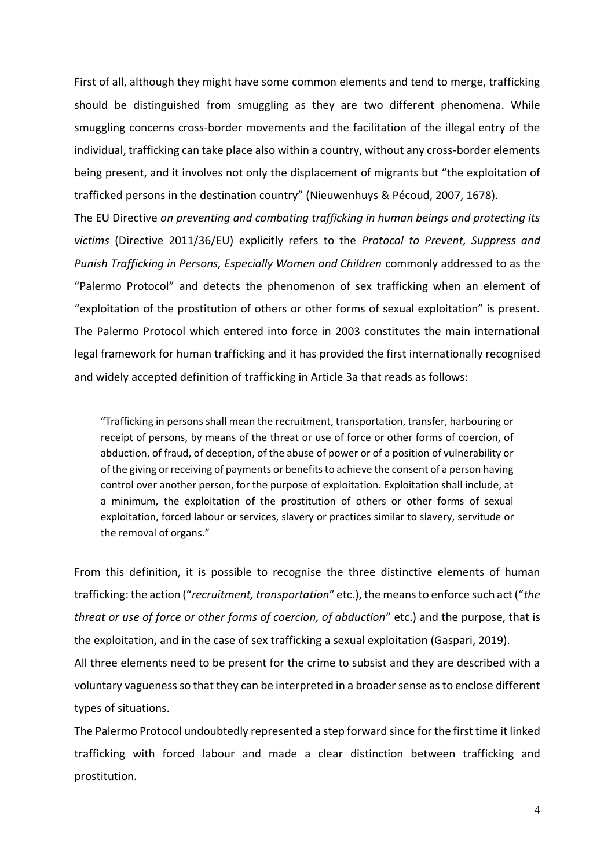First of all, although they might have some common elements and tend to merge, trafficking should be distinguished from smuggling as they are two different phenomena. While smuggling concerns cross-border movements and the facilitation of the illegal entry of the individual, trafficking can take place also within a country, without any cross-border elements being present, and it involves not only the displacement of migrants but "the exploitation of trafficked persons in the destination country" (Nieuwenhuys & Pécoud, 2007, 1678).

The EU Directive *[on preventing and combating trafficking in human beings and protecting its](https://eur-lex.europa.eu/legal-content/EN/AUTO/?uri=uriserv:OJ.L_.2011.101.01.0001.01.ENG&toc=OJ:L:2011:101:TOC)  [victims](https://eur-lex.europa.eu/legal-content/EN/AUTO/?uri=uriserv:OJ.L_.2011.101.01.0001.01.ENG&toc=OJ:L:2011:101:TOC)* (Directive 2011/36/EU) explicitly refers to the *Protocol to Prevent, Suppress and Punish Trafficking in Persons, Especially Women and Children* commonly addressed to as the "Palermo Protocol" and detects the phenomenon of sex trafficking when an element of "exploitation of the prostitution of others or other forms of sexual exploitation" is present. The Palermo Protocol which entered into force in 2003 constitutes the main international legal framework for human trafficking and it has provided the first internationally recognised and widely accepted definition of trafficking in Article 3a that reads as follows:

"Trafficking in persons shall mean the recruitment, transportation, transfer, harbouring or receipt of persons, by means of the threat or use of force or other forms of coercion, of abduction, of fraud, of deception, of the abuse of power or of a position of vulnerability or of the giving or receiving of payments or benefits to achieve the consent of a person having control over another person, for the purpose of exploitation. Exploitation shall include, at a minimum, the exploitation of the prostitution of others or other forms of sexual exploitation, forced labour or services, slavery or practices similar to slavery, servitude or the removal of organs."

From this definition, it is possible to recognise the three distinctive elements of human trafficking: the action ("*recruitment, transportation*" etc.), the means to enforce such act ("*the threat or use of force or other forms of coercion, of abduction*" etc.) and the purpose, that is the exploitation, and in the case of sex trafficking a sexual exploitation (Gaspari, 2019).

All three elements need to be present for the crime to subsist and they are described with a voluntary vagueness so that they can be interpreted in a broader sense as to enclose different types of situations.

The Palermo Protocol undoubtedly represented a step forward since for the first time it linked trafficking with forced labour and made a clear distinction between trafficking and prostitution.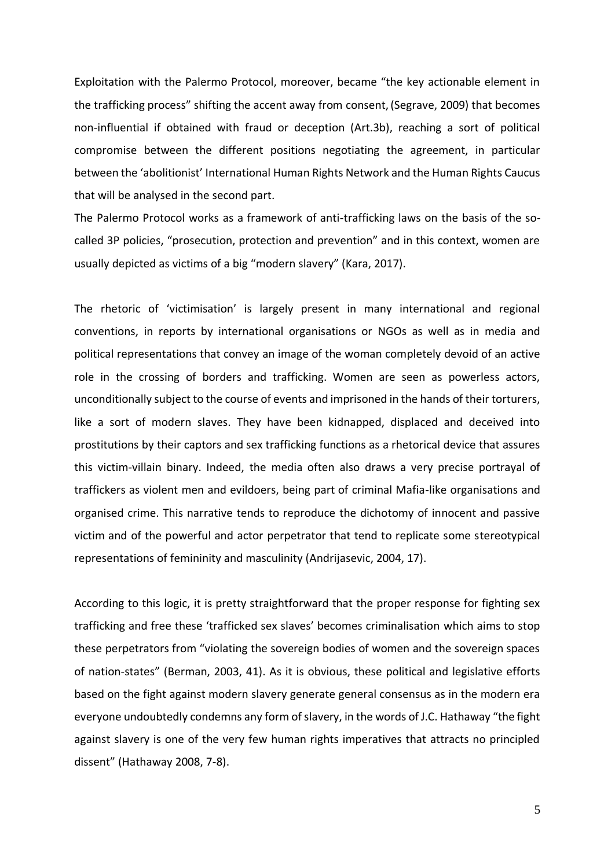Exploitation with the Palermo Protocol, moreover, became "the key actionable element in the trafficking process" shifting the accent away from consent,(Segrave, 2009) that becomes non-influential if obtained with fraud or deception (Art.3b), reaching a sort of political compromise between the different positions negotiating the agreement, in particular between the 'abolitionist' International Human Rights Network and the Human Rights Caucus that will be analysed in the second part.

The Palermo Protocol works as a framework of anti-trafficking laws on the basis of the socalled 3P policies, "prosecution, protection and prevention" and in this context, women are usually depicted as victims of a big "modern slavery" (Kara, 2017).

The rhetoric of 'victimisation' is largely present in many international and regional conventions, in reports by international organisations or NGOs as well as in media and political representations that convey an image of the woman completely devoid of an active role in the crossing of borders and trafficking. Women are seen as powerless actors, unconditionally subject to the course of events and imprisoned in the hands of their torturers, like a sort of modern slaves. They have been kidnapped, displaced and deceived into prostitutions by their captors and sex trafficking functions as a rhetorical device that assures this victim-villain binary. Indeed, the media often also draws a very precise portrayal of traffickers as violent men and evildoers, being part of criminal Mafia-like organisations and organised crime. This narrative tends to reproduce the dichotomy of innocent and passive victim and of the powerful and actor perpetrator that tend to replicate some stereotypical representations of femininity and masculinity (Andrijasevic, 2004, 17).

According to this logic, it is pretty straightforward that the proper response for fighting sex trafficking and free these 'trafficked sex slaves' becomes criminalisation which aims to stop these perpetrators from "violating the sovereign bodies of women and the sovereign spaces of nation-states" (Berman, 2003, 41). As it is obvious, these political and legislative efforts based on the fight against modern slavery generate general consensus as in the modern era everyone undoubtedly condemns any form of slavery, in the words of J.C. Hathaway "the fight against slavery is one of the very few human rights imperatives that attracts no principled dissent" (Hathaway 2008, 7-8).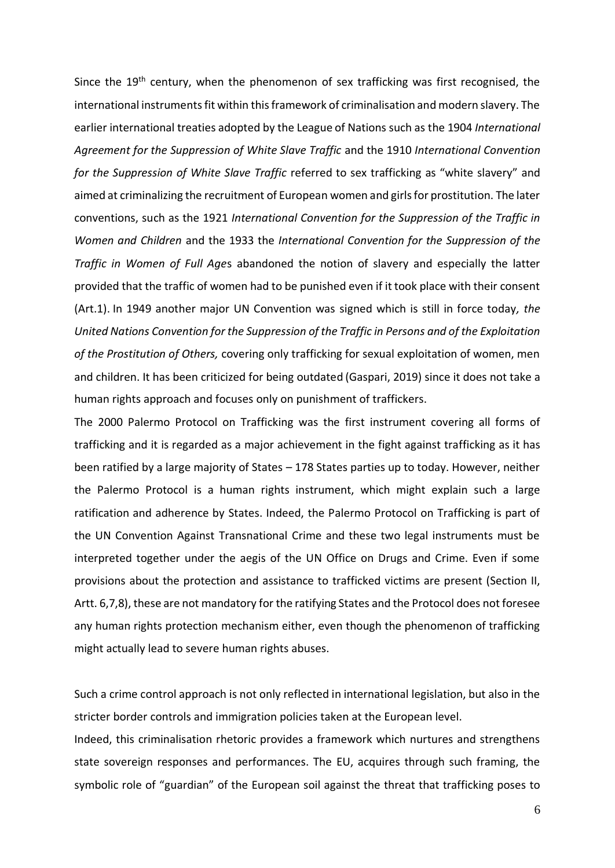Since the  $19<sup>th</sup>$  century, when the phenomenon of sex trafficking was first recognised, the international instruments fit within this framework of criminalisation and modern slavery. The earlier international treaties adopted by the League of Nations such as the 1904 *International Agreement for the Suppression of White Slave Traffic* and the 1910 *International Convention for the Suppression of White Slave Traffic* referred to sex trafficking as "white slavery" and aimed at criminalizing the recruitment of European women and girls for prostitution. The later conventions, such as the 1921 *International Convention for the Suppression of the Traffic in Women and Children* and the 1933 the *International Convention for the Suppression of the Traffic in Women of Full Age*s abandoned the notion of slavery and especially the latter provided that the traffic of women had to be punished even if it took place with their consent (Art.1). In 1949 another major UN Convention was signed which is still in force today*, the United Nations Convention for the Suppression of the Traffic in Persons and of the Exploitation of the Prostitution of Others,* covering only trafficking for sexual exploitation of women, men and children. It has been criticized for being outdated (Gaspari, 2019) since it does not take a human rights approach and focuses only on punishment of traffickers.

The 2000 Palermo Protocol on Trafficking was the first instrument covering all forms of trafficking and it is regarded as a major achievement in the fight against trafficking as it has been ratified by a large majority of States – 178 States parties up to today. However, neither the Palermo Protocol is a human rights instrument, which might explain such a large ratification and adherence by States. Indeed, the Palermo Protocol on Trafficking is part of the UN Convention Against Transnational Crime and these two legal instruments must be interpreted together under the aegis of the UN Office on Drugs and Crime. Even if some provisions about the protection and assistance to trafficked victims are present (Section II, Artt. 6,7,8), these are not mandatory for the ratifying States and the Protocol does not foresee any human rights protection mechanism either, even though the phenomenon of trafficking might actually lead to severe human rights abuses.

Such a crime control approach is not only reflected in international legislation, but also in the stricter border controls and immigration policies taken at the European level.

Indeed, this criminalisation rhetoric provides a framework which nurtures and strengthens state sovereign responses and performances. The EU, acquires through such framing, the symbolic role of "guardian" of the European soil against the threat that trafficking poses to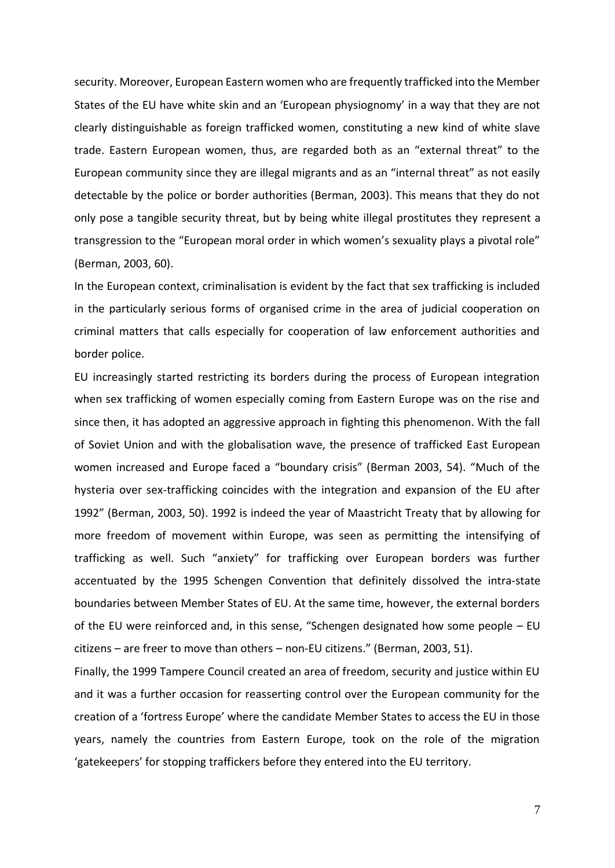security. Moreover, European Eastern women who are frequently trafficked into the Member States of the EU have white skin and an 'European physiognomy' in a way that they are not clearly distinguishable as foreign trafficked women, constituting a new kind of white slave trade. Eastern European women, thus, are regarded both as an "external threat" to the European community since they are illegal migrants and as an "internal threat" as not easily detectable by the police or border authorities (Berman, 2003). This means that they do not only pose a tangible security threat, but by being white illegal prostitutes they represent a transgression to the "European moral order in which women's sexuality plays a pivotal role" (Berman, 2003, 60).

In the European context, criminalisation is evident by the fact that sex trafficking is included in the particularly serious forms of organised crime in the area of judicial cooperation on criminal matters that calls especially for cooperation of law enforcement authorities and border police.

EU increasingly started restricting its borders during the process of European integration when sex trafficking of women especially coming from Eastern Europe was on the rise and since then, it has adopted an aggressive approach in fighting this phenomenon. With the fall of Soviet Union and with the globalisation wave, the presence of trafficked East European women increased and Europe faced a "boundary crisis" (Berman 2003, 54). "Much of the hysteria over sex-trafficking coincides with the integration and expansion of the EU after 1992" (Berman, 2003, 50). 1992 is indeed the year of Maastricht Treaty that by allowing for more freedom of movement within Europe, was seen as permitting the intensifying of trafficking as well. Such "anxiety" for trafficking over European borders was further accentuated by the 1995 Schengen Convention that definitely dissolved the intra-state boundaries between Member States of EU. At the same time, however, the external borders of the EU were reinforced and, in this sense, "Schengen designated how some people – EU citizens – are freer to move than others – non-EU citizens." (Berman, 2003, 51).

Finally, the 1999 Tampere Council created an area of freedom, security and justice within EU and it was a further occasion for reasserting control over the European community for the creation of a 'fortress Europe' where the candidate Member States to access the EU in those years, namely the countries from Eastern Europe, took on the role of the migration 'gatekeepers' for stopping traffickers before they entered into the EU territory.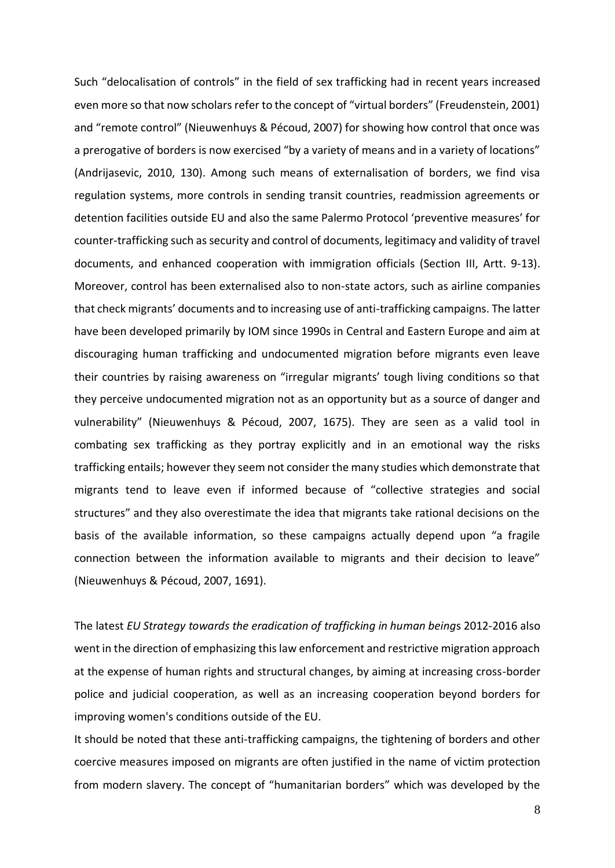Such "delocalisation of controls" in the field of sex trafficking had in recent years increased even more so that now scholars refer to the concept of "virtual borders" (Freudenstein, 2001) and "remote control" (Nieuwenhuys & Pécoud, 2007) for showing how control that once was a prerogative of borders is now exercised "by a variety of means and in a variety of locations" (Andrijasevic, 2010, 130). Among such means of externalisation of borders, we find visa regulation systems, more controls in sending transit countries, readmission agreements or detention facilities outside EU and also the same Palermo Protocol 'preventive measures' for counter-trafficking such as security and control of documents, legitimacy and validity of travel documents, and enhanced cooperation with immigration officials (Section III, Artt. 9-13). Moreover, control has been externalised also to non-state actors, such as airline companies that check migrants' documents and to increasing use of anti-trafficking campaigns. The latter have been developed primarily by IOM since 1990s in Central and Eastern Europe and aim at discouraging human trafficking and undocumented migration before migrants even leave their countries by raising awareness on "irregular migrants' tough living conditions so that they perceive undocumented migration not as an opportunity but as a source of danger and vulnerability" (Nieuwenhuys & Pécoud, 2007, 1675). They are seen as a valid tool in combating sex trafficking as they portray explicitly and in an emotional way the risks trafficking entails; however they seem not consider the many studies which demonstrate that migrants tend to leave even if informed because of "collective strategies and social structures" and they also overestimate the idea that migrants take rational decisions on the basis of the available information, so these campaigns actually depend upon "a fragile connection between the information available to migrants and their decision to leave" (Nieuwenhuys & Pécoud, 2007, 1691).

The latest *EU Strategy towards the eradication of trafficking in human being*s 2012-2016 also went in the direction of emphasizing this law enforcement and restrictive migration approach at the expense of human rights and structural changes, by aiming at increasing cross-border police and judicial cooperation, as well as an increasing cooperation beyond borders for improving women's conditions outside of the EU.

It should be noted that these anti-trafficking campaigns, the tightening of borders and other coercive measures imposed on migrants are often justified in the name of victim protection from modern slavery. The concept of "humanitarian borders" which was developed by the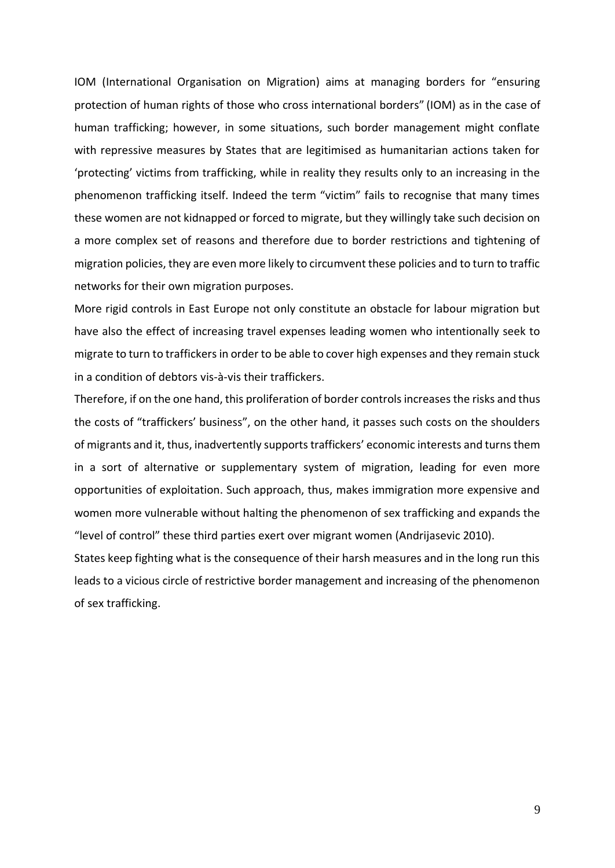IOM (International Organisation on Migration) aims at managing borders for "ensuring protection of human rights of those who cross international borders" (IOM) as in the case of human trafficking; however, in some situations, such border management might conflate with repressive measures by States that are legitimised as humanitarian actions taken for 'protecting' victims from trafficking, while in reality they results only to an increasing in the phenomenon trafficking itself. Indeed the term "victim" fails to recognise that many times these women are not kidnapped or forced to migrate, but they willingly take such decision on a more complex set of reasons and therefore due to border restrictions and tightening of migration policies, they are even more likely to circumvent these policies and to turn to traffic networks for their own migration purposes.

More rigid controls in East Europe not only constitute an obstacle for labour migration but have also the effect of increasing travel expenses leading women who intentionally seek to migrate to turn to traffickers in order to be able to cover high expenses and they remain stuck in a condition of debtors vis-à-vis their traffickers.

Therefore, if on the one hand, this proliferation of border controls increases the risks and thus the costs of "traffickers' business", on the other hand, it passes such costs on the shoulders of migrants and it, thus, inadvertently supports traffickers' economic interests and turns them in a sort of alternative or supplementary system of migration, leading for even more opportunities of exploitation. Such approach, thus, makes immigration more expensive and women more vulnerable without halting the phenomenon of sex trafficking and expands the "level of control" these third parties exert over migrant women (Andrijasevic 2010).

States keep fighting what is the consequence of their harsh measures and in the long run this leads to a vicious circle of restrictive border management and increasing of the phenomenon of sex trafficking.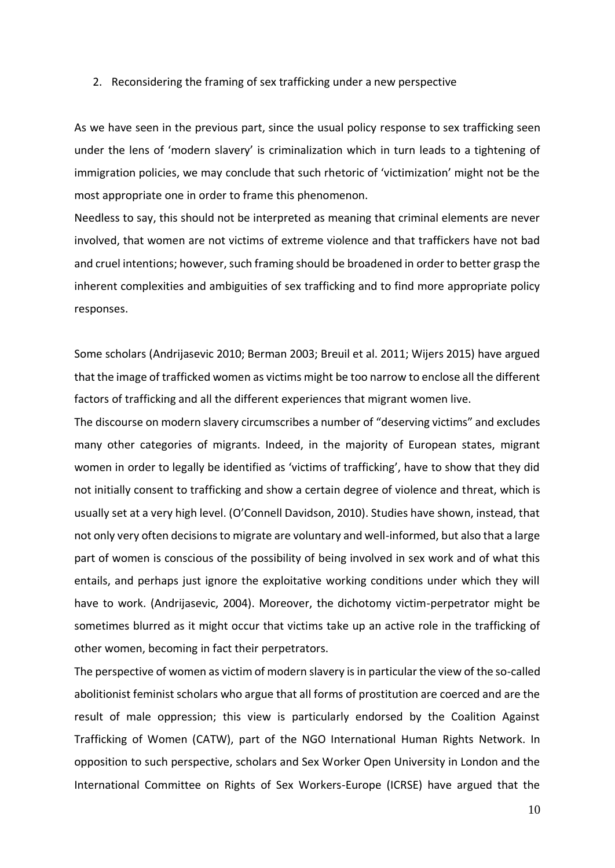#### 2. Reconsidering the framing of sex trafficking under a new perspective

As we have seen in the previous part, since the usual policy response to sex trafficking seen under the lens of 'modern slavery' is criminalization which in turn leads to a tightening of immigration policies, we may conclude that such rhetoric of 'victimization' might not be the most appropriate one in order to frame this phenomenon.

Needless to say, this should not be interpreted as meaning that criminal elements are never involved, that women are not victims of extreme violence and that traffickers have not bad and cruel intentions; however, such framing should be broadened in order to better grasp the inherent complexities and ambiguities of sex trafficking and to find more appropriate policy responses.

Some scholars (Andrijasevic 2010; Berman 2003; Breuil et al. 2011; Wijers 2015) have argued that the image of trafficked women as victims might be too narrow to enclose all the different factors of trafficking and all the different experiences that migrant women live.

The discourse on modern slavery circumscribes a number of "deserving victims" and excludes many other categories of migrants. Indeed, in the majority of European states, migrant women in order to legally be identified as 'victims of trafficking', have to show that they did not initially consent to trafficking and show a certain degree of violence and threat, which is usually set at a very high level. (O'Connell Davidson, 2010). Studies have shown, instead, that not only very often decisions to migrate are voluntary and well-informed, but also that a large part of women is conscious of the possibility of being involved in sex work and of what this entails, and perhaps just ignore the exploitative working conditions under which they will have to work. (Andrijasevic, 2004). Moreover, the dichotomy victim-perpetrator might be sometimes blurred as it might occur that victims take up an active role in the trafficking of other women, becoming in fact their perpetrators.

The perspective of women as victim of modern slavery is in particular the view of the so-called abolitionist feminist scholars who argue that all forms of prostitution are coerced and are the result of male oppression; this view is particularly endorsed by the Coalition Against Trafficking of Women (CATW), part of the NGO International Human Rights Network. In opposition to such perspective, scholars and Sex Worker Open University in London and the International Committee on Rights of Sex Workers-Europe (ICRSE) have argued that the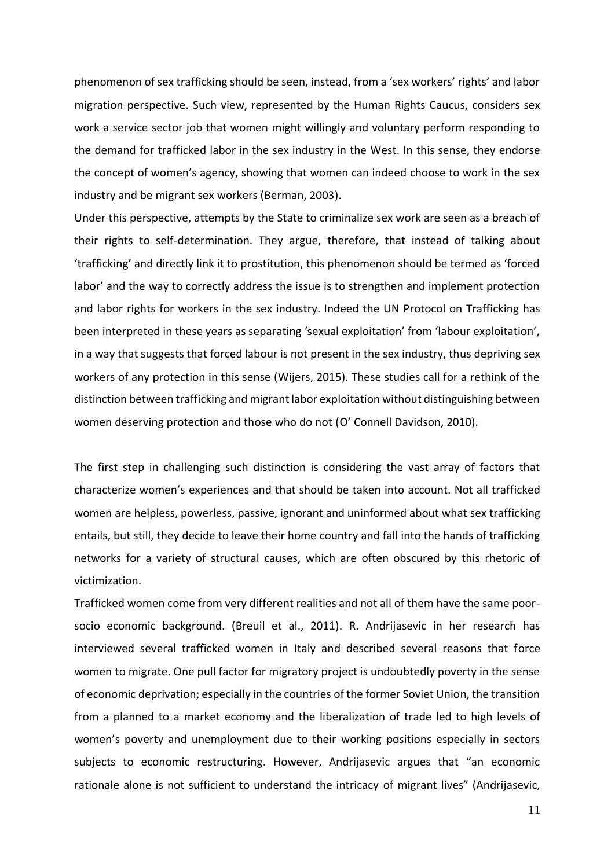phenomenon of sex trafficking should be seen, instead, from a 'sex workers' rights' and labor migration perspective. Such view, represented by the Human Rights Caucus, considers sex work a service sector job that women might willingly and voluntary perform responding to the demand for trafficked labor in the sex industry in the West. In this sense, they endorse the concept of women's agency, showing that women can indeed choose to work in the sex industry and be migrant sex workers (Berman, 2003).

Under this perspective, attempts by the State to criminalize sex work are seen as a breach of their rights to self-determination. They argue, therefore, that instead of talking about 'trafficking' and directly link it to prostitution, this phenomenon should be termed as 'forced labor' and the way to correctly address the issue is to strengthen and implement protection and labor rights for workers in the sex industry. Indeed the UN Protocol on Trafficking has been interpreted in these years as separating 'sexual exploitation' from 'labour exploitation', in a way that suggests that forced labour is not present in the sex industry, thus depriving sex workers of any protection in this sense (Wijers, 2015). These studies call for a rethink of the distinction between trafficking and migrant labor exploitation without distinguishing between women deserving protection and those who do not (O' Connell Davidson, 2010).

The first step in challenging such distinction is considering the vast array of factors that characterize women's experiences and that should be taken into account. Not all trafficked women are helpless, powerless, passive, ignorant and uninformed about what sex trafficking entails, but still, they decide to leave their home country and fall into the hands of trafficking networks for a variety of structural causes, which are often obscured by this rhetoric of victimization.

Trafficked women come from very different realities and not all of them have the same poorsocio economic background. (Breuil et al., 2011). R. Andrijasevic in her research has interviewed several trafficked women in Italy and described several reasons that force women to migrate. One pull factor for migratory project is undoubtedly poverty in the sense of economic deprivation; especially in the countries of the former Soviet Union, the transition from a planned to a market economy and the liberalization of trade led to high levels of women's poverty and unemployment due to their working positions especially in sectors subjects to economic restructuring. However, Andrijasevic argues that "an economic rationale alone is not sufficient to understand the intricacy of migrant lives" (Andrijasevic,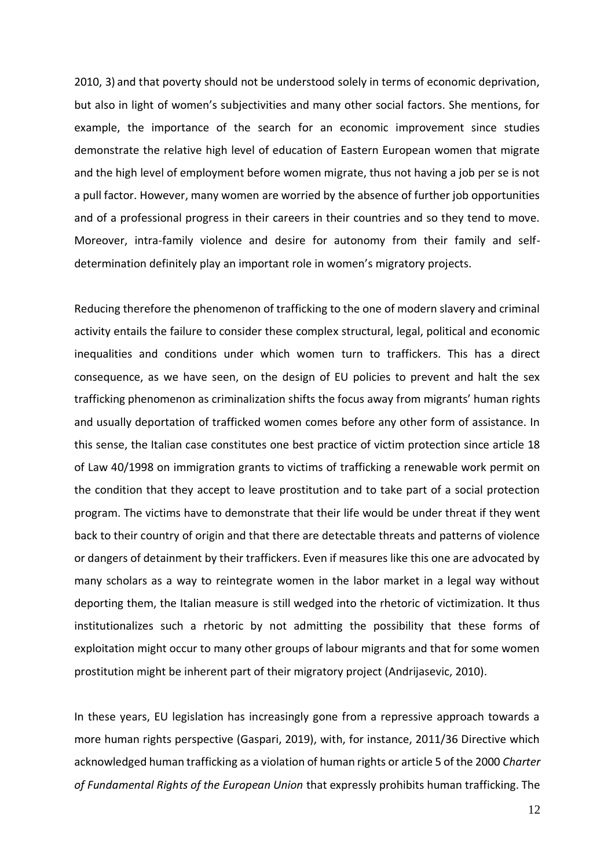2010, 3) and that poverty should not be understood solely in terms of economic deprivation, but also in light of women's subjectivities and many other social factors. She mentions, for example, the importance of the search for an economic improvement since studies demonstrate the relative high level of education of Eastern European women that migrate and the high level of employment before women migrate, thus not having a job per se is not a pull factor. However, many women are worried by the absence of further job opportunities and of a professional progress in their careers in their countries and so they tend to move. Moreover, intra-family violence and desire for autonomy from their family and selfdetermination definitely play an important role in women's migratory projects.

Reducing therefore the phenomenon of trafficking to the one of modern slavery and criminal activity entails the failure to consider these complex structural, legal, political and economic inequalities and conditions under which women turn to traffickers. This has a direct consequence, as we have seen, on the design of EU policies to prevent and halt the sex trafficking phenomenon as criminalization shifts the focus away from migrants' human rights and usually deportation of trafficked women comes before any other form of assistance. In this sense, the Italian case constitutes one best practice of victim protection since article 18 of Law 40/1998 on immigration grants to victims of trafficking a renewable work permit on the condition that they accept to leave prostitution and to take part of a social protection program. The victims have to demonstrate that their life would be under threat if they went back to their country of origin and that there are detectable threats and patterns of violence or dangers of detainment by their traffickers. Even if measures like this one are advocated by many scholars as a way to reintegrate women in the labor market in a legal way without deporting them, the Italian measure is still wedged into the rhetoric of victimization. It thus institutionalizes such a rhetoric by not admitting the possibility that these forms of exploitation might occur to many other groups of labour migrants and that for some women prostitution might be inherent part of their migratory project (Andrijasevic, 2010).

In these years, EU legislation has increasingly gone from a repressive approach towards a more human rights perspective (Gaspari, 2019), with, for instance, 2011/36 Directive which acknowledged human trafficking as a violation of human rights or article 5 of the 2000 *Charter of Fundamental Rights of the European Union* that expressly prohibits human trafficking. The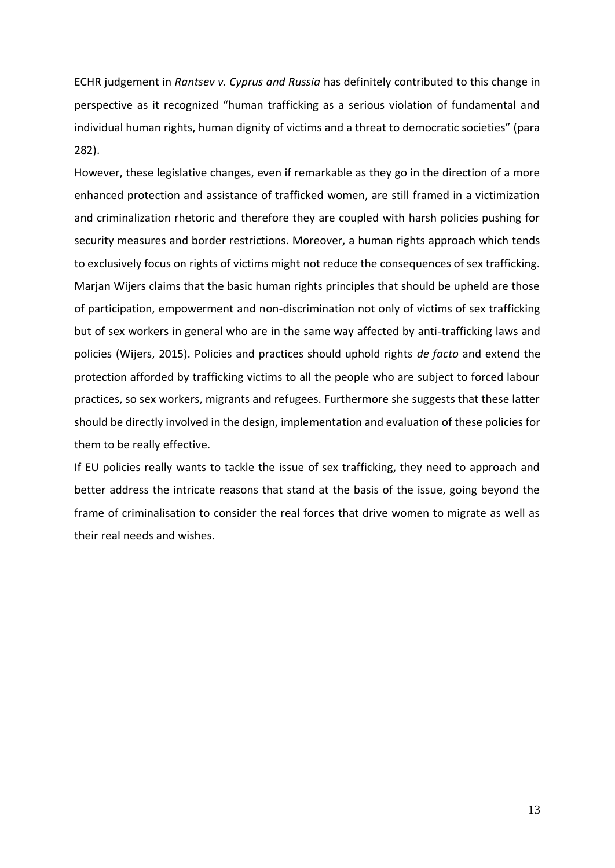ECHR judgement in *Rantsev v. Cyprus and Russia* has definitely contributed to this change in perspective as it recognized "human trafficking as a serious violation of fundamental and individual human rights, human dignity of victims and a threat to democratic societies" (para 282).

However, these legislative changes, even if remarkable as they go in the direction of a more enhanced protection and assistance of trafficked women, are still framed in a victimization and criminalization rhetoric and therefore they are coupled with harsh policies pushing for security measures and border restrictions. Moreover, a human rights approach which tends to exclusively focus on rights of victims might not reduce the consequences of sex trafficking. Marjan Wijers claims that the basic human rights principles that should be upheld are those of participation, empowerment and non-discrimination not only of victims of sex trafficking but of sex workers in general who are in the same way affected by anti-trafficking laws and policies (Wijers, 2015). Policies and practices should uphold rights *de facto* and extend the protection afforded by trafficking victims to all the people who are subject to forced labour practices, so sex workers, migrants and refugees. Furthermore she suggests that these latter should be directly involved in the design, implementation and evaluation of these policies for them to be really effective.

If EU policies really wants to tackle the issue of sex trafficking, they need to approach and better address the intricate reasons that stand at the basis of the issue, going beyond the frame of criminalisation to consider the real forces that drive women to migrate as well as their real needs and wishes.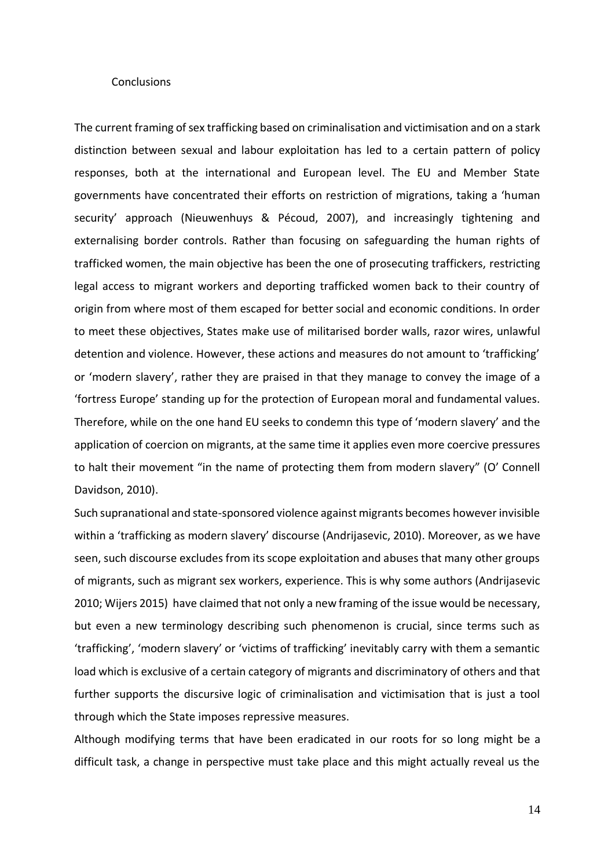### **Conclusions**

The current framing of sex trafficking based on criminalisation and victimisation and on a stark distinction between sexual and labour exploitation has led to a certain pattern of policy responses, both at the international and European level. The EU and Member State governments have concentrated their efforts on restriction of migrations, taking a 'human security' approach (Nieuwenhuys & Pécoud, 2007), and increasingly tightening and externalising border controls. Rather than focusing on safeguarding the human rights of trafficked women, the main objective has been the one of prosecuting traffickers, restricting legal access to migrant workers and deporting trafficked women back to their country of origin from where most of them escaped for better social and economic conditions. In order to meet these objectives, States make use of militarised border walls, razor wires, unlawful detention and violence. However, these actions and measures do not amount to 'trafficking' or 'modern slavery', rather they are praised in that they manage to convey the image of a 'fortress Europe' standing up for the protection of European moral and fundamental values. Therefore, while on the one hand EU seeks to condemn this type of 'modern slavery' and the application of coercion on migrants, at the same time it applies even more coercive pressures to halt their movement "in the name of protecting them from modern slavery" (O' Connell Davidson, 2010).

Such supranational and state-sponsored violence against migrants becomes however invisible within a 'trafficking as modern slavery' discourse (Andrijasevic, 2010). Moreover, as we have seen, such discourse excludes from its scope exploitation and abuses that many other groups of migrants, such as migrant sex workers, experience. This is why some authors (Andrijasevic 2010; Wijers 2015) have claimed that not only a new framing of the issue would be necessary, but even a new terminology describing such phenomenon is crucial, since terms such as 'trafficking', 'modern slavery' or 'victims of trafficking' inevitably carry with them a semantic load which is exclusive of a certain category of migrants and discriminatory of others and that further supports the discursive logic of criminalisation and victimisation that is just a tool through which the State imposes repressive measures.

Although modifying terms that have been eradicated in our roots for so long might be a difficult task, a change in perspective must take place and this might actually reveal us the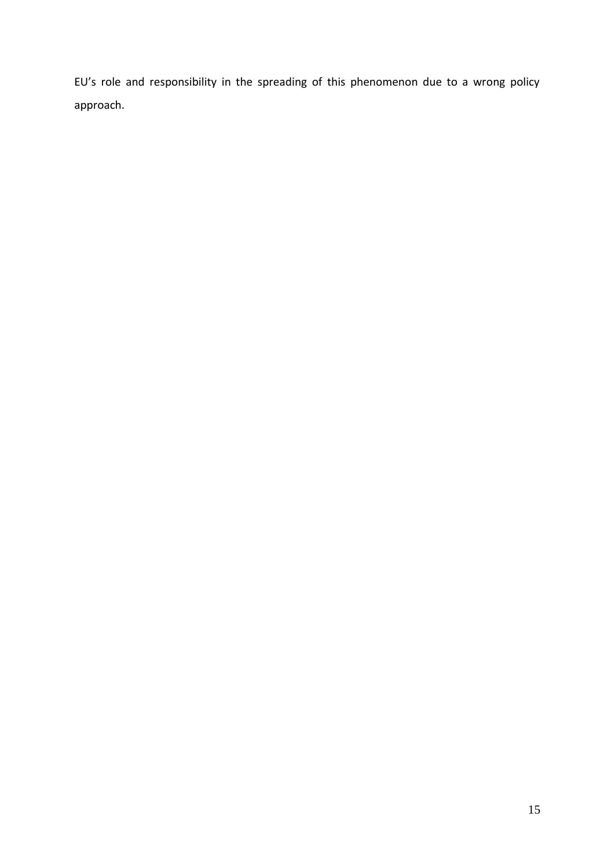EU's role and responsibility in the spreading of this phenomenon due to a wrong policy approach.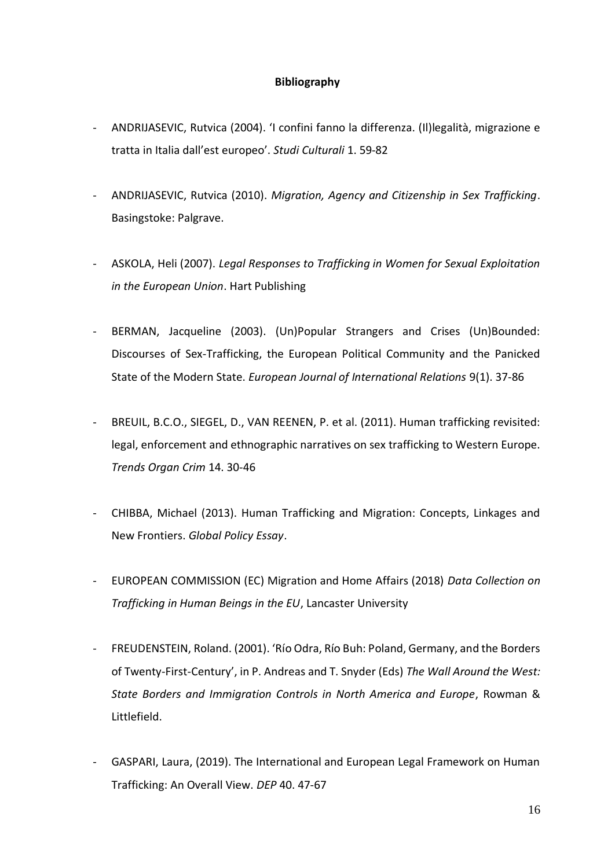## **Bibliography**

- ANDRIJASEVIC, Rutvica (2004). 'I confini fanno la differenza. (Il)legalità, migrazione e tratta in Italia dall'est europeo'. *Studi Culturali* 1. 59-82
- ANDRIJASEVIC, Rutvica (2010). *Migration, Agency and Citizenship in Sex Trafficking*. Basingstoke: Palgrave.
- ASKOLA, Heli (2007). *Legal Responses to Trafficking in Women for Sexual Exploitation in the European Union*. Hart Publishing
- BERMAN, Jacqueline (2003). (Un)Popular Strangers and Crises (Un)Bounded: Discourses of Sex-Trafficking, the European Political Community and the Panicked State of the Modern State. *European Journal of International Relations* 9(1). 37-86
- BREUIL, B.C.O., SIEGEL, D., VAN REENEN, P. et al. (2011). Human trafficking revisited: legal, enforcement and ethnographic narratives on sex trafficking to Western Europe. *Trends Organ Crim* 14. 30-46
- CHIBBA, Michael (2013). Human Trafficking and Migration: Concepts, Linkages and New Frontiers. *Global Policy Essay*.
- EUROPEAN COMMISSION (EC) Migration and Home Affairs (2018) *Data Collection on Trafficking in Human Beings in the EU*, Lancaster University
- FREUDENSTEIN, Roland. (2001). 'Río Odra, Río Buh: Poland, Germany, and the Borders of Twenty-First-Century', in P. Andreas and T. Snyder (Eds) *The Wall Around the West: State Borders and Immigration Controls in North America and Europe*, Rowman & Littlefield.
- GASPARI, Laura, (2019). The International and European Legal Framework on Human Trafficking: An Overall View. *DEP* 40. 47-67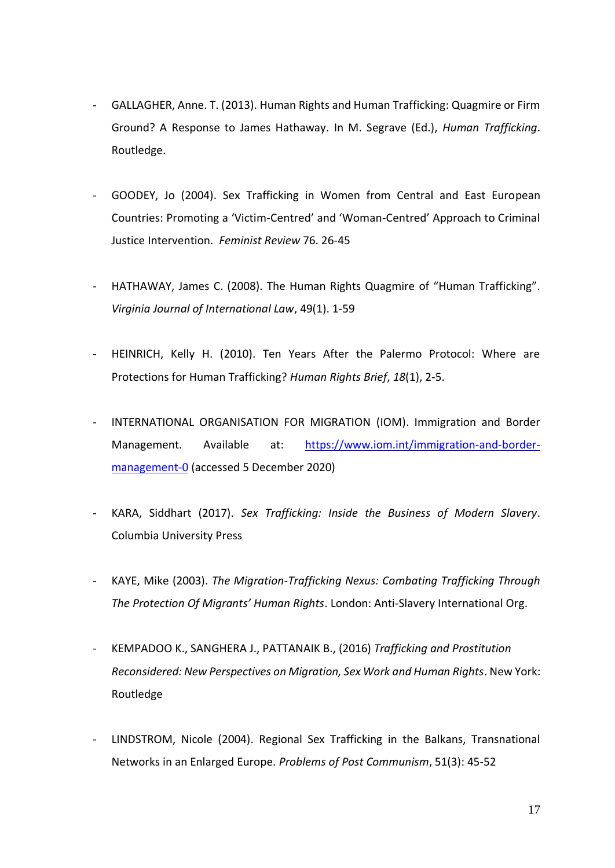- GALLAGHER, Anne. T. (2013). Human Rights and Human Trafficking: Quagmire or Firm Ground? A Response to James Hathaway. In M. Segrave (Ed.), *Human Trafficking*. Routledge.
- GOODEY, Jo (2004). Sex Trafficking in Women from Central and East European Countries: Promoting a 'Victim-Centred' and 'Woman-Centred' Approach to Criminal Justice Intervention. *Feminist Review* 76. 26-45
- HATHAWAY, James C. (2008). The Human Rights Quagmire of "Human Trafficking". *Virginia Journal of International Law*, 49(1). 1-59
- HEINRICH, Kelly H. (2010). Ten Years After the Palermo Protocol: Where are Protections for Human Trafficking? *Human Rights Brief*, *18*(1), 2-5.
- INTERNATIONAL ORGANISATION FOR MIGRATION (IOM). Immigration and Border Management. Available at: [https://www.iom.int/immigration-and-border](https://www.iom.int/immigration-and-border-management-0)[management-0](https://www.iom.int/immigration-and-border-management-0) (accessed 5 December 2020)
- KARA, Siddhart (2017). *Sex Trafficking: Inside the Business of Modern Slavery*. Columbia University Press
- KAYE, Mike (2003). *The Migration-Trafficking Nexus: Combating Trafficking Through The Protection Of Migrants' Human Rights*. London: Anti-Slavery International Org.
- KEMPADOO K., SANGHERA J., PATTANAIK B., (2016) *Trafficking and Prostitution Reconsidered: New Perspectives on Migration, Sex Work and Human Rights*. New York: Routledge
- LINDSTROM, Nicole (2004). Regional Sex Trafficking in the Balkans, Transnational Networks in an Enlarged Europe. *Problems of Post Communism*, 51(3): 45-52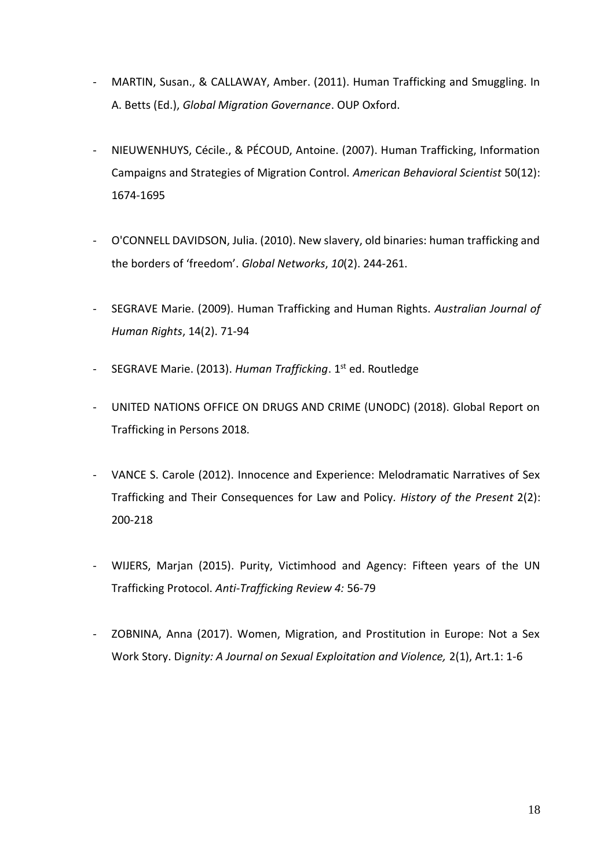- MARTIN, Susan., & CALLAWAY, Amber. (2011). Human Trafficking and Smuggling. In A. Betts (Ed.), *Global Migration Governance*. OUP Oxford.
- NIEUWENHUYS, Cécile., & PÉCOUD, Antoine. (2007). Human Trafficking, Information Campaigns and Strategies of Migration Control. *American Behavioral Scientist* 50(12): 1674-1695
- O'CONNELL DAVIDSON, Julia. (2010). New slavery, old binaries: human trafficking and the borders of 'freedom'. *Global Networks*, *10*(2). 244-261.
- SEGRAVE Marie. (2009). Human Trafficking and Human Rights. *Australian Journal of Human Rights*, 14(2). 71-94
- SEGRAVE Marie. (2013). *Human Trafficking*. 1<sup>st</sup> ed. Routledge
- UNITED NATIONS OFFICE ON DRUGS AND CRIME (UNODC) (2018). Global Report on Trafficking in Persons 2018.
- VANCE S. Carole (2012). Innocence and Experience: Melodramatic Narratives of Sex Trafficking and Their Consequences for Law and Policy*. History of the Present* 2(2): 200-218
- WIJERS, Marjan (2015). Purity, Victimhood and Agency: Fifteen years of the UN Trafficking Protocol. *Anti-Trafficking Review 4:* 56-79
- ZOBNINA, Anna (2017). Women, Migration, and Prostitution in Europe: Not a Sex Work Story. Di*gnity: A Journal on Sexual Exploitation and Violence,* 2(1), Art.1: 1-6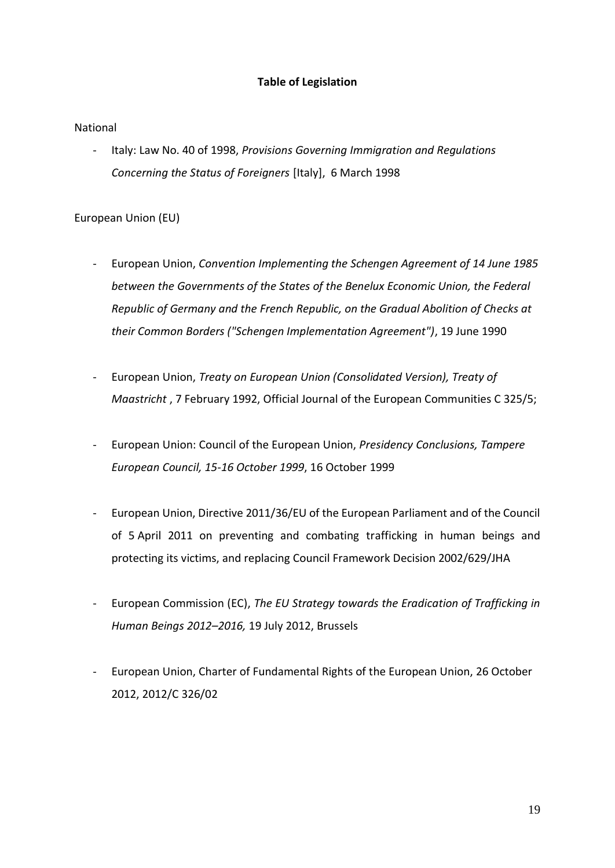# **Table of Legislation**

# National

- Italy: Law No. 40 of 1998, *Provisions Governing Immigration and Regulations Concerning the Status of Foreigners* [Italy], 6 March 1998

# European Union (EU)

- European Union, *Convention Implementing the Schengen Agreement of 14 June 1985 between the Governments of the States of the Benelux Economic Union, the Federal Republic of Germany and the French Republic, on the Gradual Abolition of Checks at their Common Borders ("Schengen Implementation Agreement")*, 19 June 1990
- European Union, *Treaty on European Union (Consolidated Version), Treaty of Maastricht* , 7 February 1992, Official Journal of the European Communities C 325/5;
- European Union: Council of the European Union, *Presidency Conclusions, Tampere European Council, 15-16 October 1999*, 16 October 1999
- European Union, Directive 2011/36/EU of the European Parliament and of the Council of 5 April 2011 on preventing and combating trafficking in human beings and protecting its victims, and replacing Council Framework Decision 2002/629/JHA
- European Commission (EC), *The EU Strategy towards the Eradication of Trafficking in Human Beings 2012–2016,* 19 July 2012, Brussels
- European Union, Charter of Fundamental Rights of the European Union, 26 October 2012, 2012/C 326/02